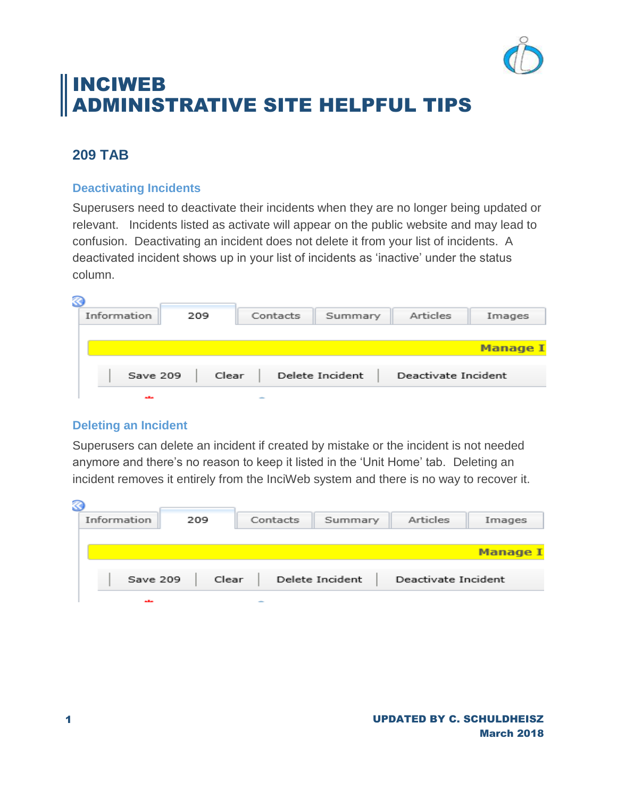

# INCIWEB ADMINISTRATIVE SITE HELPFUL TIPS

# **209 TAB**

# **Deactivating Incidents**

Superusers need to deactivate their incidents when they are no longer being updated or relevant. Incidents listed as activate will appear on the public website and may lead to confusion. Deactivating an incident does not delete it from your list of incidents. A deactivated incident shows up in your list of incidents as 'inactive' under the status column.

| B           |       |          |                 |                     |                 |
|-------------|-------|----------|-----------------|---------------------|-----------------|
| Information | 209   | Contacts | Summary         | Articles            | Images          |
|             |       |          |                 |                     |                 |
|             |       |          |                 |                     | <b>Manage I</b> |
| Save 209    | Clear |          | Delete Incident | Deactivate Incident |                 |
| ستقبر       |       |          |                 |                     |                 |

### **Deleting an Incident**

Superusers can delete an incident if created by mistake or the incident is not needed anymore and there's no reason to keep it listed in the 'Unit Home' tab. Deleting an incident removes it entirely from the InciWeb system and there is no way to recover it.

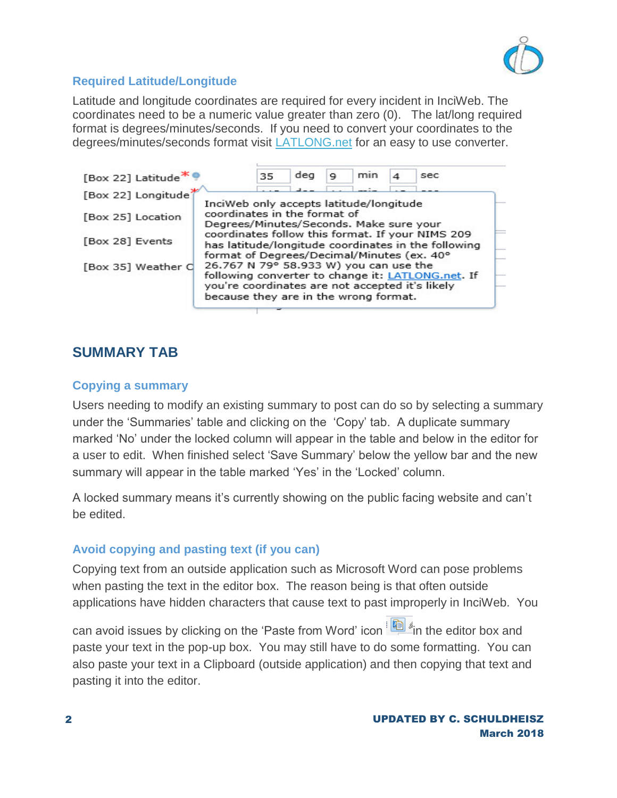

# **Required Latitude/Longitude**

Latitude and longitude coordinates are required for every incident in InciWeb. The coordinates need to be a numeric value greater than zero (0). The lat/long required format is degrees/minutes/seconds. If you need to convert your coordinates to the degrees/minutes/seconds format visit [LATLONG.net](https://www.latlong.net/) for an easy to use converter.



# **SUMMARY TAB**

### **Copying a summary**

Users needing to modify an existing summary to post can do so by selecting a summary under the 'Summaries' table and clicking on the 'Copy' tab. A duplicate summary marked 'No' under the locked column will appear in the table and below in the editor for a user to edit. When finished select 'Save Summary' below the yellow bar and the new summary will appear in the table marked 'Yes' in the 'Locked' column.

A locked summary means it's currently showing on the public facing website and can't be edited.

### **Avoid copying and pasting text (if you can)**

Copying text from an outside application such as Microsoft Word can pose problems when pasting the text in the editor box. The reason being is that often outside applications have hidden characters that cause text to past improperly in InciWeb. You

can avoid issues by clicking on the 'Paste from Word' icon in the editor box and paste your text in the pop-up box. You may still have to do some formatting. You can also paste your text in a Clipboard (outside application) and then copying that text and pasting it into the editor.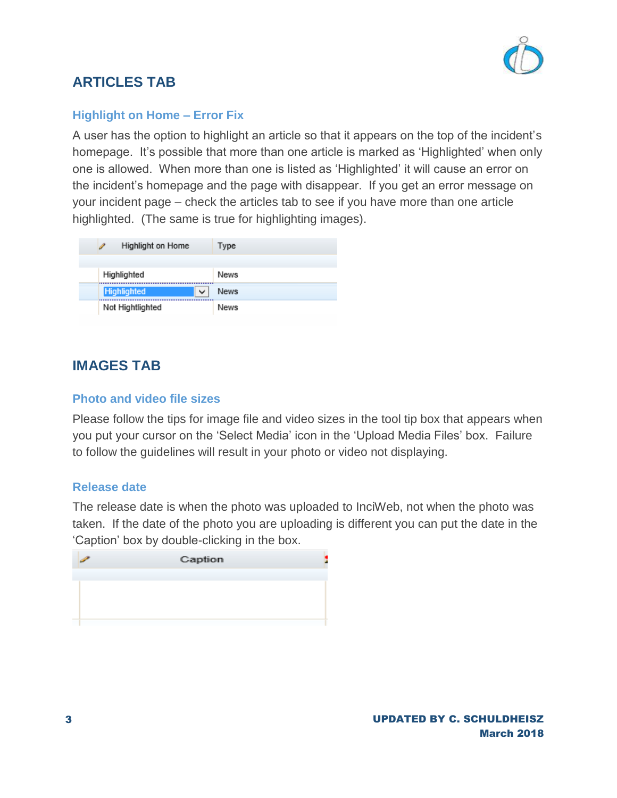

# **ARTICLES TAB**

## **Highlight on Home – Error Fix**

A user has the option to highlight an article so that it appears on the top of the incident's homepage. It's possible that more than one article is marked as 'Highlighted' when only one is allowed. When more than one is listed as 'Highlighted' it will cause an error on the incident's homepage and the page with disappear. If you get an error message on your incident page – check the articles tab to see if you have more than one article highlighted. (The same is true for highlighting images).

| Highlight on Home  |   | Type |
|--------------------|---|------|
| Highlighted        |   | News |
| <b>Highlighted</b> | v | News |
| Not Hightlighted   |   | News |

# **IMAGES TAB**

### **Photo and video file sizes**

Please follow the tips for image file and video sizes in the tool tip box that appears when you put your cursor on the 'Select Media' icon in the 'Upload Media Files' box. Failure to follow the guidelines will result in your photo or video not displaying.

#### **Release date**

The release date is when the photo was uploaded to InciWeb, not when the photo was taken. If the date of the photo you are uploading is different you can put the date in the 'Caption' box by double-clicking in the box.

| ∕ | Caption |  |
|---|---------|--|
|   |         |  |
|   |         |  |
|   |         |  |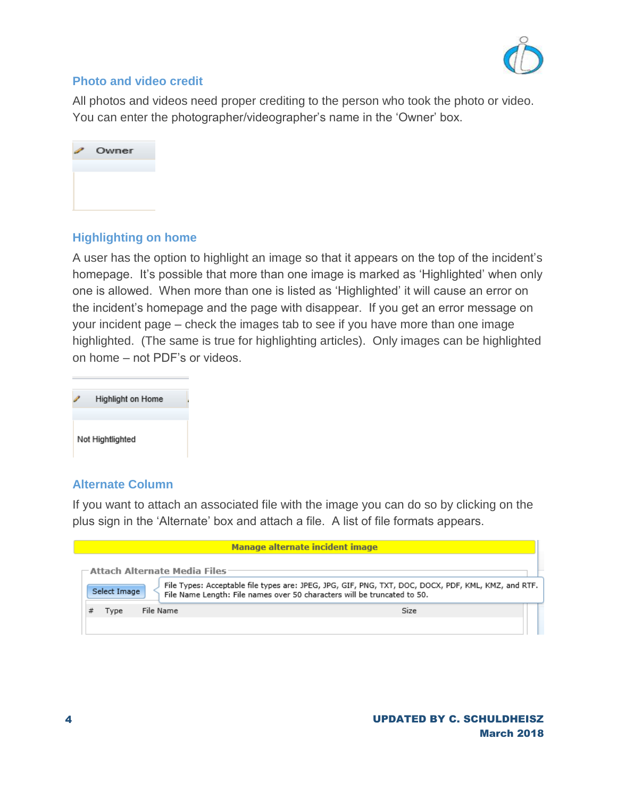

### **Photo and video credit**

All photos and videos need proper crediting to the person who took the photo or video. You can enter the photographer/videographer's name in the 'Owner' box.



# **Highlighting on home**

A user has the option to highlight an image so that it appears on the top of the incident's homepage. It's possible that more than one image is marked as 'Highlighted' when only one is allowed. When more than one is listed as 'Highlighted' it will cause an error on the incident's homepage and the page with disappear. If you get an error message on your incident page – check the images tab to see if you have more than one image highlighted. (The same is true for highlighting articles). Only images can be highlighted on home – not PDF's or videos.



### **Alternate Column**

If you want to attach an associated file with the image you can do so by clicking on the plus sign in the 'Alternate' box and attach a file. A list of file formats appears.

|              | Manage alternate incident image                                                                                                                                                 |  |
|--------------|---------------------------------------------------------------------------------------------------------------------------------------------------------------------------------|--|
|              | $\sqsubset$ Attach Alternate Media Files:                                                                                                                                       |  |
| Select Image | File Types: Acceptable file types are: JPEG, JPG, GIF, PNG, TXT, DOC, DOCX, PDF, KML, KMZ, and RTF.<br>File Name Length: File names over 50 characters will be truncated to 50. |  |
| Tvpe         | File Name<br>Size                                                                                                                                                               |  |
|              |                                                                                                                                                                                 |  |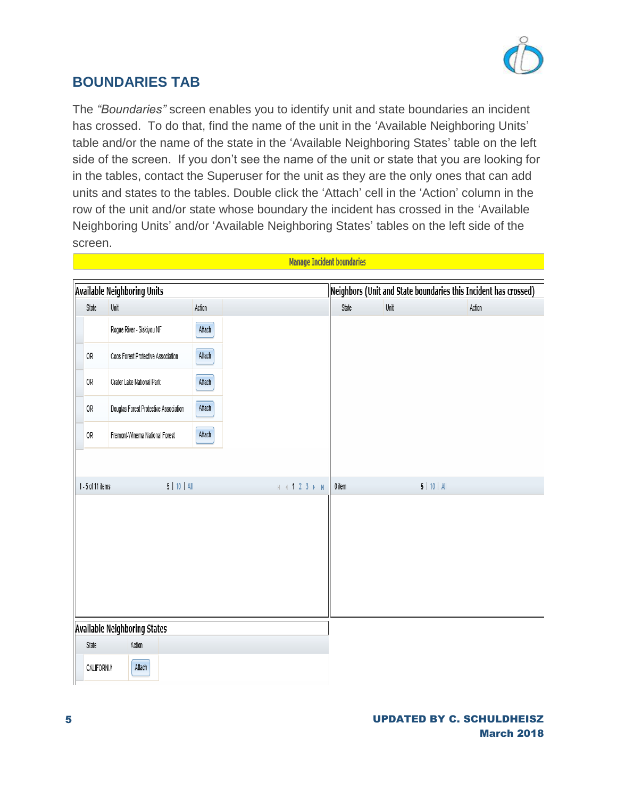

# **BOUNDARIES TAB**

The *"Boundaries"* screen enables you to identify unit and state boundaries an incident has crossed. To do that, find the name of the unit in the 'Available Neighboring Units' table and/or the name of the state in the 'Available Neighboring States' table on the left side of the screen. If you don't see the name of the unit or state that you are looking for in the tables, contact the Superuser for the unit as they are the only ones that can add units and states to the tables. Double click the 'Attach' cell in the 'Action' column in the row of the unit and/or state whose boundary the incident has crossed in the 'Available Neighboring Units' and/or 'Available Neighboring States' tables on the left side of the screen.

Manage Incident boundaries

|                   | <b>Available Neighboring Units</b>    |        |                                                                                  |          | Neighbors (Unit and State boundaries this Incident has crossed) |                |  |
|-------------------|---------------------------------------|--------|----------------------------------------------------------------------------------|----------|-----------------------------------------------------------------|----------------|--|
| State             | Unit                                  | Action |                                                                                  | State    | Unit                                                            | Action         |  |
|                   | Rogue River - Siskiyou NF             | Attach |                                                                                  |          |                                                                 |                |  |
| 0R                | Coos Forest Protective Association    | Attach |                                                                                  |          |                                                                 |                |  |
| 0R                | Crater Lake National Park             | Attach |                                                                                  |          |                                                                 |                |  |
| 0R                | Douglas Forest Protective Association | Attach |                                                                                  |          |                                                                 |                |  |
| 0R                | Fremont-Winema National Forest        | Attach |                                                                                  |          |                                                                 |                |  |
|                   |                                       |        |                                                                                  |          |                                                                 |                |  |
| 1 - 5 of 11 items | $5$   10   All                        |        | $\mathbb{H} \rightarrow \textbf{1} \textbf{2} \textbf{3} \rightarrow \textbf{H}$ | $0$ item |                                                                 | $5$   10   All |  |
|                   |                                       |        |                                                                                  |          |                                                                 |                |  |
|                   |                                       |        |                                                                                  |          |                                                                 |                |  |
|                   |                                       |        |                                                                                  |          |                                                                 |                |  |
|                   |                                       |        |                                                                                  |          |                                                                 |                |  |
|                   |                                       |        |                                                                                  |          |                                                                 |                |  |
|                   | <b>Available Neighboring States</b>   |        |                                                                                  |          |                                                                 |                |  |
| State             | Action                                |        |                                                                                  |          |                                                                 |                |  |
| CALIFORNIA        | Attach                                |        |                                                                                  |          |                                                                 |                |  |

#### UPDATED BY C. SCHULDHEISZ March 2018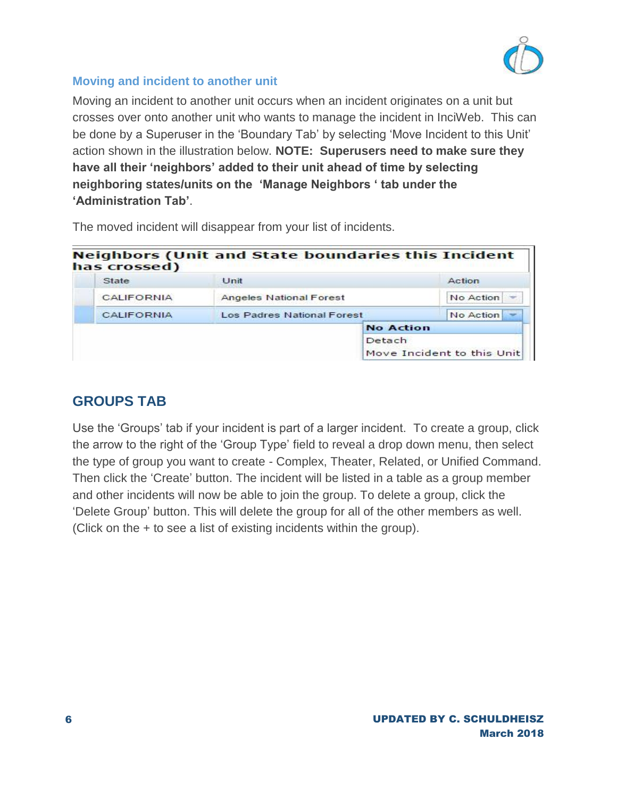

# **Moving and incident to another unit**

Moving an incident to another unit occurs when an incident originates on a unit but crosses over onto another unit who wants to manage the incident in InciWeb. This can be done by a Superuser in the 'Boundary Tab' by selecting 'Move Incident to this Unit' action shown in the illustration below. **NOTE: Superusers need to make sure they have all their 'neighbors' added to their unit ahead of time by selecting neighboring states/units on the 'Manage Neighbors ' tab under the 'Administration Tab'**.

| has crossed)      | <b>Neighbors (Unit and State boundaries this Incident</b> |                  |                            |
|-------------------|-----------------------------------------------------------|------------------|----------------------------|
| State             | Unit                                                      |                  | Action                     |
| CALIFORNIA        | <b>Angeles National Forest</b>                            |                  | No Action                  |
| <b>CALIFORNIA</b> | <b>Los Padres National Forest</b>                         |                  | No Action                  |
|                   |                                                           | <b>No Action</b> |                            |
|                   |                                                           | Detach           | Move Incident to this Unit |

The moved incident will disappear from your list of incidents.

# **GROUPS TAB**

Use the 'Groups' tab if your incident is part of a larger incident. To create a group, click the arrow to the right of the 'Group Type' field to reveal a drop down menu, then select the type of group you want to create - Complex, Theater, Related, or Unified Command. Then click the 'Create' button. The incident will be listed in a table as a group member and other incidents will now be able to join the group. To delete a group, click the 'Delete Group' button. This will delete the group for all of the other members as well. (Click on the + to see a list of existing incidents within the group).